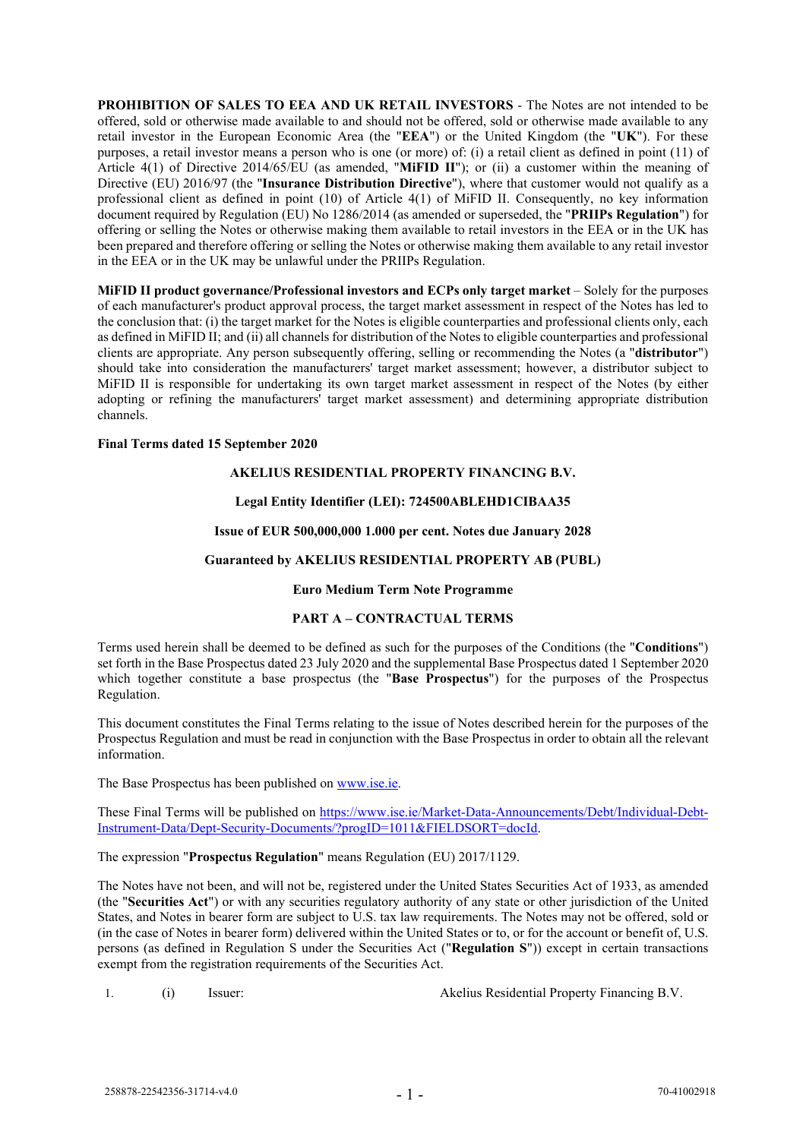**PROHIBITION OF SALES TO EEA AND UK RETAIL INVESTORS** - The Notes are not intended to be offered, sold or otherwise made available to and should not be offered, sold or otherwise made available to any retail investor in the European Economic Area (the "**EEA**") or the United Kingdom (the "**UK**"). For these purposes, a retail investor means a person who is one (or more) of: (i) a retail client as defined in point (11) of Article 4(1) of Directive 2014/65/EU (as amended, "**MiFID II**"); or (ii) a customer within the meaning of Directive (EU) 2016/97 (the "**Insurance Distribution Directive**"), where that customer would not qualify as a professional client as defined in point (10) of Article 4(1) of MiFID II. Consequently, no key information document required by Regulation (EU) No 1286/2014 (as amended or superseded, the "**PRIIPs Regulation**") for offering or selling the Notes or otherwise making them available to retail investors in the EEA or in the UK has been prepared and therefore offering or selling the Notes or otherwise making them available to any retail investor in the EEA or in the UK may be unlawful under the PRIIPs Regulation.

**MiFID II product governance/Professional investors and ECPs only target market** – Solely for the purposes of each manufacturer's product approval process, the target market assessment in respect of the Notes has led to the conclusion that: (i) the target market for the Notes is eligible counterparties and professional clients only, each as defined in MiFID II; and (ii) all channels for distribution of the Notes to eligible counterparties and professional clients are appropriate. Any person subsequently offering, selling or recommending the Notes (a "**distributor**") should take into consideration the manufacturers' target market assessment; however, a distributor subject to MiFID II is responsible for undertaking its own target market assessment in respect of the Notes (by either adopting or refining the manufacturers' target market assessment) and determining appropriate distribution channels.

#### **Final Terms dated 15 September 2020**

### **AKELIUS RESIDENTIAL PROPERTY FINANCING B.V.**

### **Legal Entity Identifier (LEI): 724500ABLEHD1CIBAA35**

### **Issue of EUR 500,000,000 1.000 per cent. Notes due January 2028**

### **Guaranteed by AKELIUS RESIDENTIAL PROPERTY AB (PUBL)**

### **Euro Medium Term Note Programme**

### **PART A – CONTRACTUAL TERMS**

Terms used herein shall be deemed to be defined as such for the purposes of the Conditions (the "**Conditions**") set forth in the Base Prospectus dated 23 July 2020 and the supplemental Base Prospectus dated 1 September 2020 which together constitute a base prospectus (the "**Base Prospectus**") for the purposes of the Prospectus Regulation.

This document constitutes the Final Terms relating to the issue of Notes described herein for the purposes of the Prospectus Regulation and must be read in conjunction with the Base Prospectus in order to obtain all the relevant information.

The Base Prospectus has been published on [www.ise.ie.](http://www.ise.ie/)

These Final Terms will be published on [https://www.ise.ie/Market-Data-Announcements/Debt/Individual-Debt-](https://www.ise.ie/Market-Data-Announcements/Debt/Individual-Debt-Instrument-Data/Dept-Security-Documents/?progID=1011&FIELDSORT=docId)[Instrument-Data/Dept-Security-Documents/?progID=1011&FIELDSORT=docId.](https://www.ise.ie/Market-Data-Announcements/Debt/Individual-Debt-Instrument-Data/Dept-Security-Documents/?progID=1011&FIELDSORT=docId)

The expression "**Prospectus Regulation**" means Regulation (EU) 2017/1129.

The Notes have not been, and will not be, registered under the United States Securities Act of 1933, as amended (the "**Securities Act**") or with any securities regulatory authority of any state or other jurisdiction of the United States, and Notes in bearer form are subject to U.S. tax law requirements. The Notes may not be offered, sold or (in the case of Notes in bearer form) delivered within the United States or to, or for the account or benefit of, U.S. persons (as defined in Regulation S under the Securities Act ("**Regulation S**")) except in certain transactions exempt from the registration requirements of the Securities Act.

1. (i) Issuer: Akelius Residential Property Financing B.V.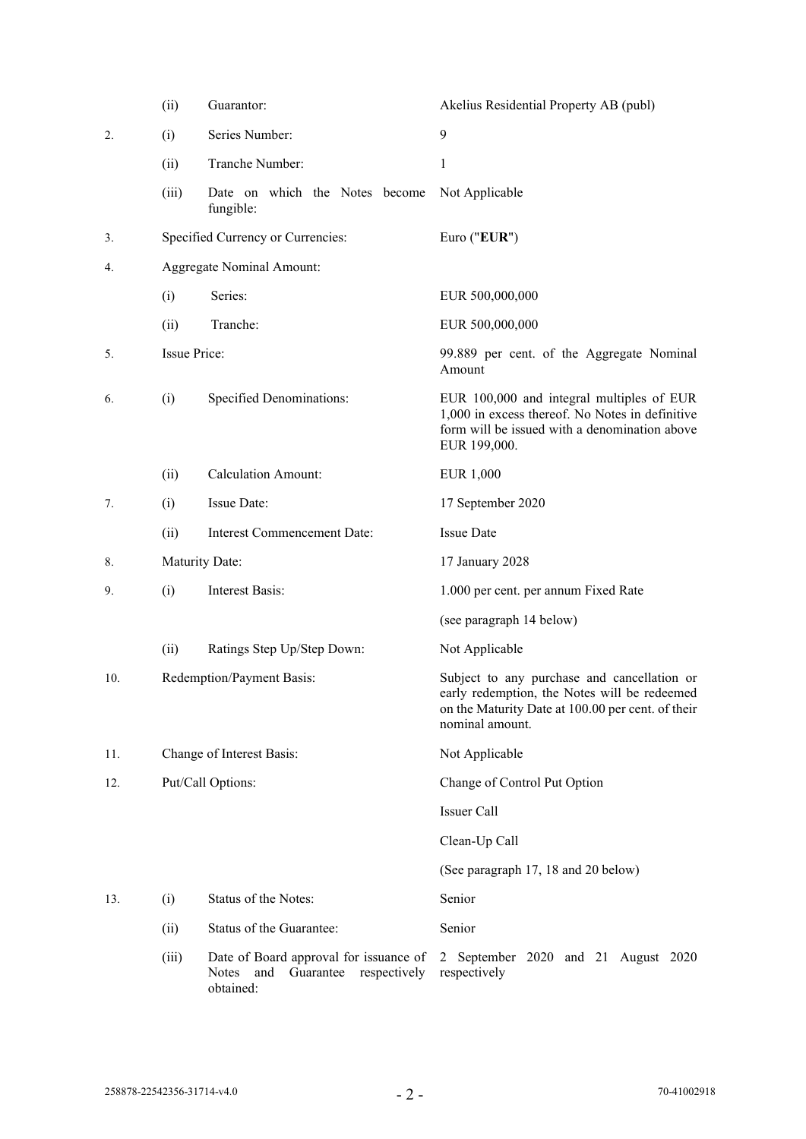|     | (ii)                | Guarantor:                                                                                    | Akelius Residential Property AB (publ)                                                                                                                              |
|-----|---------------------|-----------------------------------------------------------------------------------------------|---------------------------------------------------------------------------------------------------------------------------------------------------------------------|
| 2.  | (i)                 | Series Number:                                                                                | 9                                                                                                                                                                   |
|     | (ii)                | Tranche Number:                                                                               | 1                                                                                                                                                                   |
|     | (iii)               | Date on which the Notes become<br>fungible:                                                   | Not Applicable                                                                                                                                                      |
| 3.  |                     | Specified Currency or Currencies:                                                             | Euro ("EUR")                                                                                                                                                        |
| 4.  |                     | <b>Aggregate Nominal Amount:</b>                                                              |                                                                                                                                                                     |
|     | (i)                 | Series:                                                                                       | EUR 500,000,000                                                                                                                                                     |
|     | (ii)                | Tranche:                                                                                      | EUR 500,000,000                                                                                                                                                     |
| 5.  | <b>Issue Price:</b> |                                                                                               | 99.889 per cent. of the Aggregate Nominal<br>Amount                                                                                                                 |
| 6.  | (i)                 | Specified Denominations:                                                                      | EUR 100,000 and integral multiples of EUR<br>1,000 in excess thereof. No Notes in definitive<br>form will be issued with a denomination above<br>EUR 199,000.       |
|     | (ii)                | <b>Calculation Amount:</b>                                                                    | <b>EUR 1,000</b>                                                                                                                                                    |
| 7.  | (i)                 | Issue Date:                                                                                   | 17 September 2020                                                                                                                                                   |
|     | (ii)                | Interest Commencement Date:                                                                   | <b>Issue Date</b>                                                                                                                                                   |
| 8.  | Maturity Date:      |                                                                                               | 17 January 2028                                                                                                                                                     |
| 9.  | (i)                 | <b>Interest Basis:</b>                                                                        | 1.000 per cent. per annum Fixed Rate                                                                                                                                |
|     |                     |                                                                                               | (see paragraph 14 below)                                                                                                                                            |
|     | (ii)                | Ratings Step Up/Step Down:                                                                    | Not Applicable                                                                                                                                                      |
| 10. |                     | Redemption/Payment Basis:                                                                     | Subject to any purchase and cancellation or<br>early redemption, the Notes will be redeemed<br>on the Maturity Date at 100.00 per cent. of their<br>nominal amount. |
| 11. |                     | Change of Interest Basis:                                                                     | Not Applicable                                                                                                                                                      |
| 12. |                     | Put/Call Options:                                                                             | Change of Control Put Option                                                                                                                                        |
|     |                     |                                                                                               | Issuer Call                                                                                                                                                         |
|     |                     |                                                                                               | Clean-Up Call                                                                                                                                                       |
|     |                     |                                                                                               | (See paragraph 17, 18 and 20 below)                                                                                                                                 |
| 13. | (i)                 | Status of the Notes:                                                                          | Senior                                                                                                                                                              |
|     | (ii)                | Status of the Guarantee:                                                                      | Senior                                                                                                                                                              |
|     | (iii)               | Date of Board approval for issuance of<br>and<br>Guarantee respectively<br>Notes<br>obtained: | 2 September 2020 and 21 August 2020<br>respectively                                                                                                                 |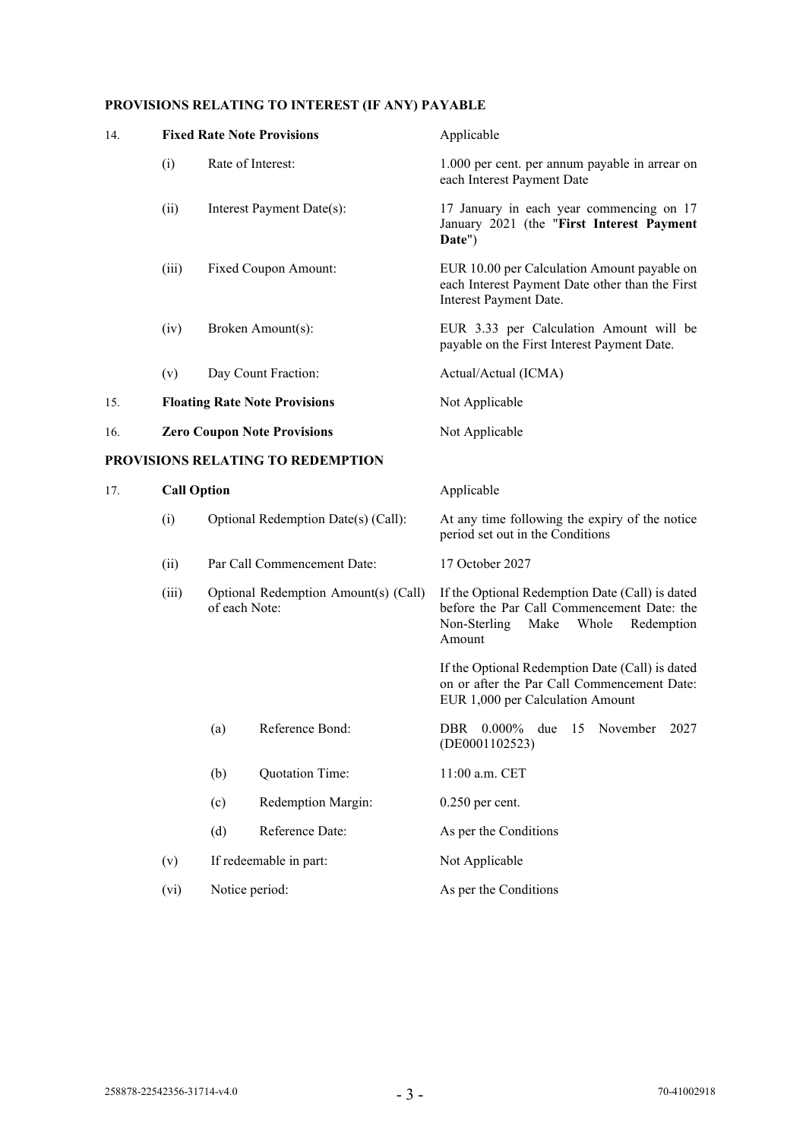## **PROVISIONS RELATING TO INTEREST (IF ANY) PAYABLE**

| 14. |                                                                                                                                                     |                                      | <b>Fixed Rate Note Provisions</b> | Applicable                                                                                                                                             |
|-----|-----------------------------------------------------------------------------------------------------------------------------------------------------|--------------------------------------|-----------------------------------|--------------------------------------------------------------------------------------------------------------------------------------------------------|
|     | (i)                                                                                                                                                 | Rate of Interest:                    |                                   | 1.000 per cent. per annum payable in arrear on<br>each Interest Payment Date                                                                           |
|     | (ii)                                                                                                                                                |                                      | Interest Payment Date(s):         | 17 January in each year commencing on 17<br>January 2021 (the "First Interest Payment<br>Date")                                                        |
|     | (iii)                                                                                                                                               |                                      | Fixed Coupon Amount:              | EUR 10.00 per Calculation Amount payable on<br>each Interest Payment Date other than the First<br>Interest Payment Date.                               |
|     | (iv)                                                                                                                                                |                                      | Broken Amount(s):                 | EUR 3.33 per Calculation Amount will be<br>payable on the First Interest Payment Date.                                                                 |
|     | (v)                                                                                                                                                 |                                      | Day Count Fraction:               | Actual/Actual (ICMA)                                                                                                                                   |
| 15. |                                                                                                                                                     | <b>Floating Rate Note Provisions</b> |                                   | Not Applicable                                                                                                                                         |
| 16. | <b>Zero Coupon Note Provisions</b>                                                                                                                  |                                      |                                   | Not Applicable                                                                                                                                         |
|     |                                                                                                                                                     |                                      | PROVISIONS RELATING TO REDEMPTION |                                                                                                                                                        |
| 17. | <b>Call Option</b>                                                                                                                                  |                                      |                                   | Applicable                                                                                                                                             |
|     | (i)<br>Optional Redemption Date(s) (Call):<br>Par Call Commencement Date:<br>(ii)<br>(iii)<br>Optional Redemption Amount(s) (Call)<br>of each Note: |                                      |                                   | At any time following the expiry of the notice<br>period set out in the Conditions                                                                     |
|     |                                                                                                                                                     |                                      |                                   | 17 October 2027                                                                                                                                        |
|     |                                                                                                                                                     |                                      |                                   | If the Optional Redemption Date (Call) is dated<br>before the Par Call Commencement Date: the<br>Non-Sterling<br>Make<br>Whole<br>Redemption<br>Amount |
|     |                                                                                                                                                     |                                      |                                   | If the Optional Redemption Date (Call) is dated<br>on or after the Par Call Commencement Date:<br>EUR 1,000 per Calculation Amount                     |
|     |                                                                                                                                                     | (a)                                  | Reference Bond:                   | DBR 0.000% due 15 November<br>2027<br>(DE0001102523)                                                                                                   |
|     |                                                                                                                                                     | (b)                                  | Quotation Time:                   | 11:00 a.m. CET                                                                                                                                         |
|     |                                                                                                                                                     | (c)                                  | Redemption Margin:                | $0.250$ per cent.                                                                                                                                      |
|     |                                                                                                                                                     | (d)                                  | Reference Date:                   | As per the Conditions                                                                                                                                  |
|     | (v)                                                                                                                                                 | If redeemable in part:               |                                   | Not Applicable                                                                                                                                         |
|     | (vi)                                                                                                                                                | Notice period:                       |                                   | As per the Conditions                                                                                                                                  |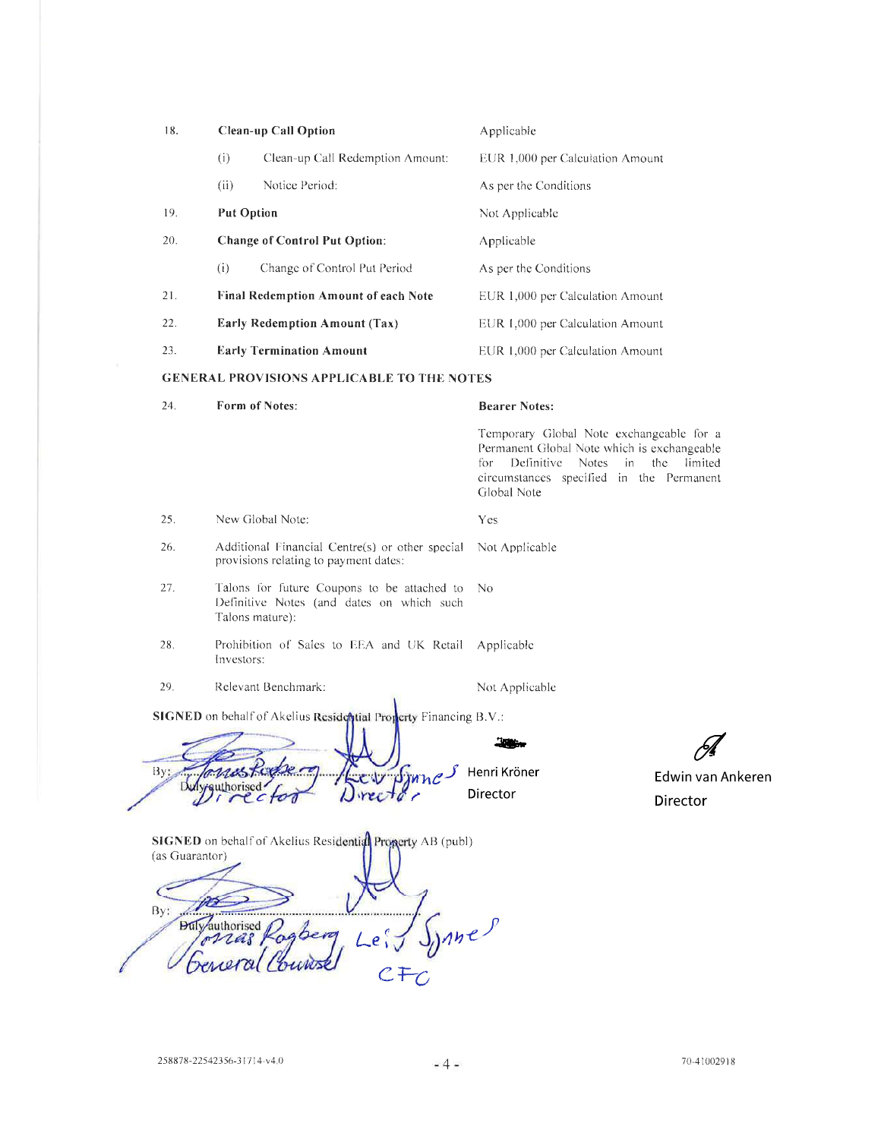| 18. |                                          | <b>Clean-up Call Option</b>                                                                                       | Applicable                                                                                                                                                                           |                               |
|-----|------------------------------------------|-------------------------------------------------------------------------------------------------------------------|--------------------------------------------------------------------------------------------------------------------------------------------------------------------------------------|-------------------------------|
|     | (i)                                      | Clean-up Call Redemption Amount:                                                                                  | EUR 1,000 per Calculation Amount                                                                                                                                                     |                               |
|     | (ii)                                     | Notice Period:                                                                                                    | As per the Conditions                                                                                                                                                                |                               |
| 19. |                                          | <b>Put Option</b>                                                                                                 | Not Applicable                                                                                                                                                                       |                               |
| 20. |                                          | <b>Change of Control Put Option:</b>                                                                              | Applicable                                                                                                                                                                           |                               |
|     | (i)                                      | Change of Control Put Period                                                                                      | As per the Conditions                                                                                                                                                                |                               |
| 21. |                                          | <b>Final Redemption Amount of each Note</b>                                                                       | EUR 1,000 per Calculation Amount                                                                                                                                                     |                               |
| 22. |                                          | <b>Early Redemption Amount (Tax)</b>                                                                              | EUR 1,000 per Calculation Amount                                                                                                                                                     |                               |
| 23. |                                          | <b>Early Termination Amount</b>                                                                                   | EUR 1,000 per Calculation Amount                                                                                                                                                     |                               |
|     |                                          | <b>GENERAL PROVISIONS APPLICABLE TO THE NOTES</b>                                                                 |                                                                                                                                                                                      |                               |
| 24. |                                          | Form of Notes:                                                                                                    | <b>Bearer Notes:</b>                                                                                                                                                                 |                               |
|     |                                          |                                                                                                                   | Temporary Global Note exchangeable for a<br>Permanent Global Note which is exchangeable<br>Definitive Notes<br>for<br>in.<br>circumstances specified in the Permanent<br>Global Note | the<br>limited                |
| 25. |                                          | New Global Note:                                                                                                  | Yes                                                                                                                                                                                  |                               |
| 26. |                                          | Additional Financial Centre(s) or other special<br>provisions relating to payment dates:                          | Not Applicable                                                                                                                                                                       |                               |
| 27. |                                          | Talons for future Coupons to be attached to<br>Definitive Notes (and dates on which such<br>Talons mature):       | No                                                                                                                                                                                   |                               |
| 28. |                                          | Prohibition of Sales to EEA and UK Retail<br>Investors:                                                           | Applicable                                                                                                                                                                           |                               |
| 29. |                                          | Relevant Benchmark:                                                                                               | Not Applicable                                                                                                                                                                       |                               |
| By: | Duly-authorised                          | SIGNED on behalf of Akelius Residential Property Financing B.V.:<br>ct00                                          | Henri Kröner<br>Director                                                                                                                                                             | Edwin van Ankeren<br>Director |
| By: | (as Guarantor)<br><b>Duly</b> authorised | <b>SIGNED</b> on behalf of Akelius Residential Property AB (publ)<br>Le <sub>1</sub> <sup>c</sup><br>${\cal C}$ F | nne                                                                                                                                                                                  |                               |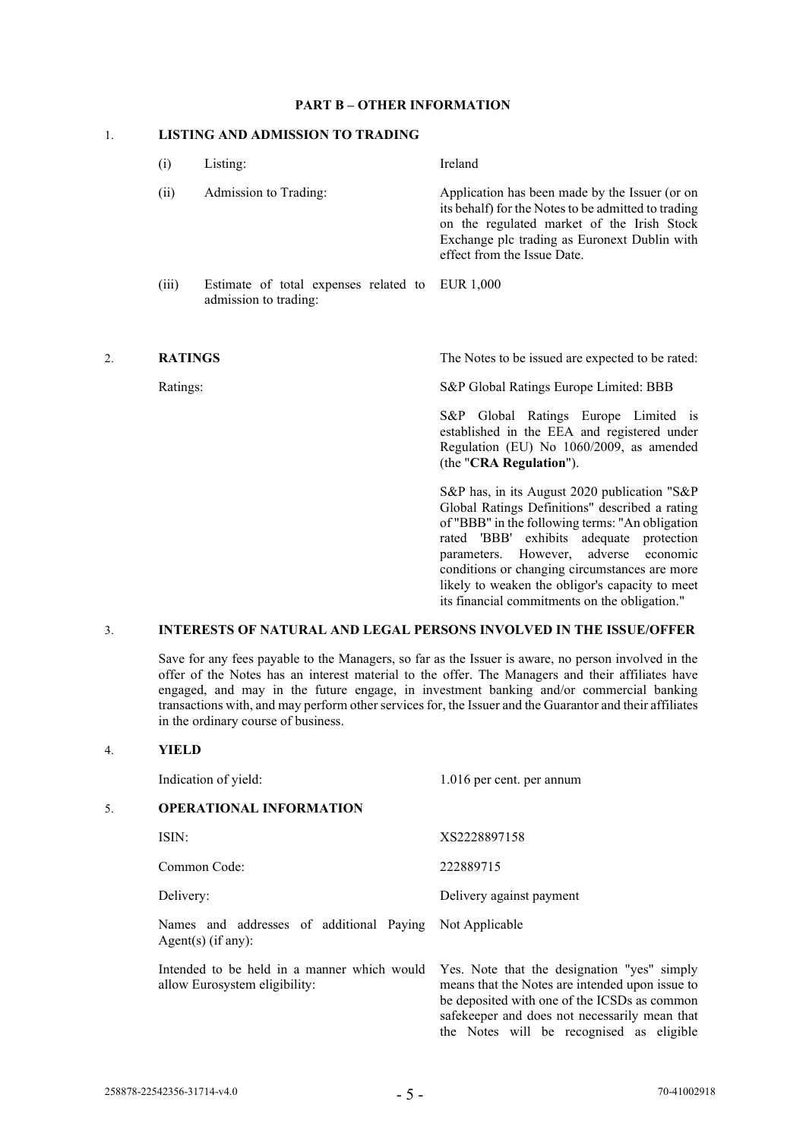### **PART B – OTHER INFORMATION**

### 1. **LISTING AND ADMISSION TO TRADING**

| $\left(1\right)$ | Listing:                                                                 | Ireland                                                                                                                                                                                                                            |
|------------------|--------------------------------------------------------------------------|------------------------------------------------------------------------------------------------------------------------------------------------------------------------------------------------------------------------------------|
| (ii)             | Admission to Trading:                                                    | Application has been made by the Issuer (or on<br>its behalf) for the Notes to be admitted to trading<br>on the regulated market of the Irish Stock<br>Exchange plc trading as Euronext Dublin with<br>effect from the Issue Date. |
| (iii)            | Estimate of total expenses related to EUR 1,000<br>admission to trading: |                                                                                                                                                                                                                                    |
| <b>RATINGS</b>   |                                                                          | The Notes to be issued are expected to be rated:                                                                                                                                                                                   |

Ratings: S&P Global Ratings Europe Limited: BBB

S&P Global Ratings Europe Limited is established in the EEA and registered under Regulation (EU) No 1060/2009, as amended (the "**CRA Regulation**").

S&P has, in its August 2020 publication "S&P Global Ratings Definitions" described a rating of "BBB" in the following terms: "An obligation rated 'BBB' exhibits adequate protection parameters. However, adverse economic conditions or changing circumstances are more likely to weaken the obligor's capacity to meet its financial commitments on the obligation."

the Notes will be recognised as eligible

### 3. **INTERESTS OF NATURAL AND LEGAL PERSONS INVOLVED IN THE ISSUE/OFFER**

Save for any fees payable to the Managers, so far as the Issuer is aware, no person involved in the offer of the Notes has an interest material to the offer. The Managers and their affiliates have engaged, and may in the future engage, in investment banking and/or commercial banking transactions with, and may perform other services for, the Issuer and the Guarantor and their affiliates in the ordinary course of business.

### 4. **YIELD**

|    | Indication of yield:                                                             | 1.016 per cent. per annum                                                                                                                                                                       |  |  |
|----|----------------------------------------------------------------------------------|-------------------------------------------------------------------------------------------------------------------------------------------------------------------------------------------------|--|--|
| 5. | <b>OPERATIONAL INFORMATION</b>                                                   |                                                                                                                                                                                                 |  |  |
|    | ISIN:                                                                            | XS2228897158                                                                                                                                                                                    |  |  |
|    | Common Code:                                                                     | 222889715                                                                                                                                                                                       |  |  |
|    | Delivery:                                                                        | Delivery against payment                                                                                                                                                                        |  |  |
|    | Names and addresses of additional Paying Not Applicable<br>Agent $(s)$ (if any): |                                                                                                                                                                                                 |  |  |
|    | Intended to be held in a manner which would<br>allow Eurosystem eligibility:     | Yes. Note that the designation "yes" simply<br>means that the Notes are intended upon issue to<br>be deposited with one of the ICSDs as common<br>safekeeper and does not necessarily mean that |  |  |